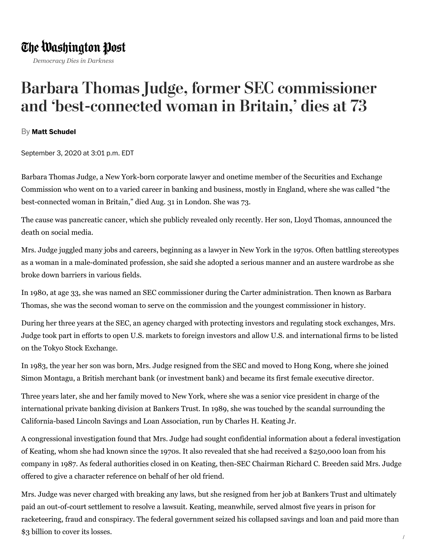## The Washington Post

*Democracy Dies in Darkness*

## Barbara Thomas Judge, former SEC commissioner and 'best-connected woman in Britain, ' dies at 73

## By **Matt [Schudel](https://www.washingtonpost.com/people/matt-schudel/)**

September 3, 2020 at 3:01 p.m. EDT

Barbara Thomas Judge, a New York-born corporate lawyer and onetime member of the Securities and Exchange Commission who went on to a varied career in banking and business, mostly in England, where she was called "the best-connected woman in Britain," died Aug. 31 in London. She was 73.

The cause was pancreatic cancer, which she publicly revealed only recently. Her son, Lloyd Thomas, announced the death on social media.

Mrs. Judge juggled many jobs and careers, beginning as a lawyer in New York in the 1970s. Often battling stereotypes as a woman in a male-dominated profession, she said she adopted a serious manner and an austere wardrobe as she broke down barriers in various fields.

In 1980, at age 33, she was named an SEC commissioner during the Carter administration. Then known as Barbara Thomas, she was the second woman to serve on the commission and the youngest commissioner in history.

During her three years at the SEC, an agency charged with protecting investors and regulating stock exchanges, Mrs. Judge took part in efforts to open U.S. markets to foreign investors and allow U.S. and international firms to be listed on the Tokyo Stock Exchange.

In 1983, the year her son was born, Mrs. Judge resigned from the SEC and moved to Hong Kong, where she joined Simon Montagu, a British merchant bank (or investment bank) and became its first female executive director.

Three years later, she and her family moved to New York, where she was a senior vice president in charge of the international private banking division at Bankers Trust. In 1989, she was touched by the scandal surrounding the California-based Lincoln Savings and Loan Association, run by Charles H. Keating Jr.

A congressional investigation found that Mrs. Judge had sought confidential information about a federal investigation of Keating, whom she had known since the 1970s. It also revealed that she had received a \$250,000 loan from his company in 1987. As federal authorities closed in on Keating, then-SEC Chairman Richard C. Breeden said Mrs. Judge offered to give a character reference on behalf of her old friend.

Mrs. Judge was never charged with breaking any laws, but she resigned from her job at Bankers Trust and ultimately paid an out-of-court settlement to resolve a lawsuit. Keating, meanwhile, served almost five years in prison for racketeering, fraud and conspiracy. The federal government seized his collapsed savings and loan and paid more than \$3 billion to cover its losses.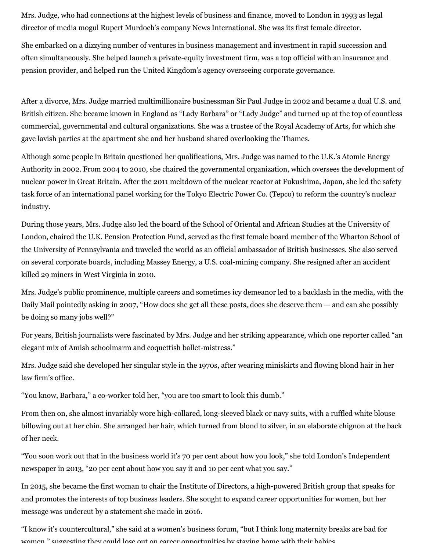Mrs. Judge, who had connections at the highest levels of business and finance, moved to London in 1993 as legal director of media mogul Rupert Murdoch's company News International. She was its first female director.

She embarked on a dizzying number of ventures in business management and investment in rapid succession and often simultaneously. She helped launch a private-equity investment firm, was a top official with an insurance and pension provider, and helped run the United Kingdom's agency overseeing corporate governance.

After a divorce, Mrs. Judge married multimillionaire businessman Sir Paul Judge in 2002 and became a dual U.S. and British citizen. She became known in England as "Lady Barbara" or "Lady Judge" and turned up at the top of countless commercial, governmental and cultural organizations. She was a trustee of the Royal Academy of Arts, for which she gave lavish parties at the apartment she and her husband shared overlooking the Thames.

Although some people in Britain questioned her qualifications, Mrs. Judge was named to the U.K.'s Atomic Energy Authority in 2002. From 2004 to 2010, she chaired the governmental organization, which oversees the development of nuclear power in Great Britain. After the 2011 meltdown of the nuclear reactor at Fukushima, Japan, she led the safety task force of an international panel working for the Tokyo Electric Power Co. (Tepco) to reform the country's nuclear industry.

During those years, Mrs. Judge also led the board of the School of Oriental and African Studies at the University of London, chaired the U.K. Pension Protection Fund, served as the first female board member of the Wharton School of the University of Pennsylvania and traveled the world as an official ambassador of British businesses. She also served on several corporate boards, including Massey Energy, a U.S. coal-mining company. She resigned after an accident killed 29 miners in West Virginia in 2010.

Mrs. Judge's public prominence, multiple careers and sometimes icy demeanor led to a backlash in the media, with the Daily Mail pointedly asking in 2007, "How does she get all these posts, does she deserve them — and can she possibly be doing so many jobs well?"

For years, British journalists were fascinated by Mrs. Judge and her striking appearance, which one reporter called "an elegant mix of Amish schoolmarm and coquettish ballet-mistress."

Mrs. Judge said she developed her singular style in the 1970s, after wearing miniskirts and flowing blond hair in her law firm's office.

"You know, Barbara," a co-worker told her, "you are too smart to look this dumb."

From then on, she almost invariably wore high-collared, long-sleeved black or navy suits, with a ruffled white blouse billowing out at her chin. She arranged her hair, which turned from blond to silver, in an elaborate chignon at the back of her neck.

"You soon work out that in the business world it's 70 per cent about how you look," she told London's Independent newspaper in 2013, "20 per cent about how you say it and 10 per cent what you say."

In 2015, she became the first woman to chair the Institute of Directors, a high-powered British group that speaks for and promotes the interests of top business leaders. She sought to expand career opportunities for women, but her message was undercut by a statement she made in 2016.

"I know it's countercultural," she said at a women's business forum, "but I think long maternity breaks are bad for women " suggesting they could lose out on career opportunities by staying home with their babies